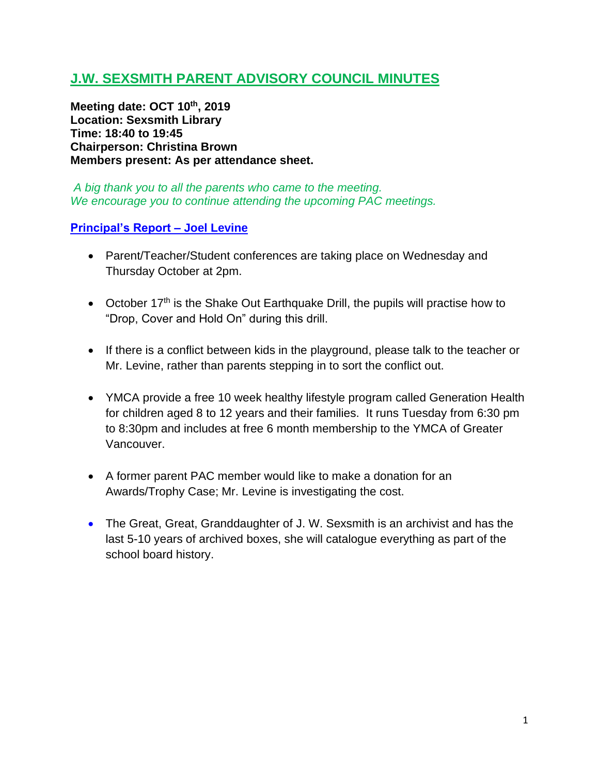# **J.W. SEXSMITH PARENT ADVISORY COUNCIL MINUTES**

**Meeting date: OCT 10th , 2019 Location: Sexsmith Library Time: 18:40 to 19:45 Chairperson: Christina Brown Members present: As per attendance sheet.**

*A big thank you to all the parents who came to the meeting. We encourage you to continue attending the upcoming PAC meetings.*

### **Principal's Report – Joel Levine**

- Parent/Teacher/Student conferences are taking place on Wednesday and Thursday October at 2pm.
- October  $17<sup>th</sup>$  is the Shake Out Earthquake Drill, the pupils will practise how to "Drop, Cover and Hold On" during this drill.
- If there is a conflict between kids in the playground, please talk to the teacher or Mr. Levine, rather than parents stepping in to sort the conflict out.
- YMCA provide a free 10 week healthy lifestyle program called Generation Health for children aged 8 to 12 years and their families. It runs Tuesday from 6:30 pm to 8:30pm and includes at free 6 month membership to the YMCA of Greater Vancouver.
- A former parent PAC member would like to make a donation for an Awards/Trophy Case; Mr. Levine is investigating the cost.
- The Great, Great, Granddaughter of J. W. Sexsmith is an archivist and has the last 5-10 years of archived boxes, she will catalogue everything as part of the school board history.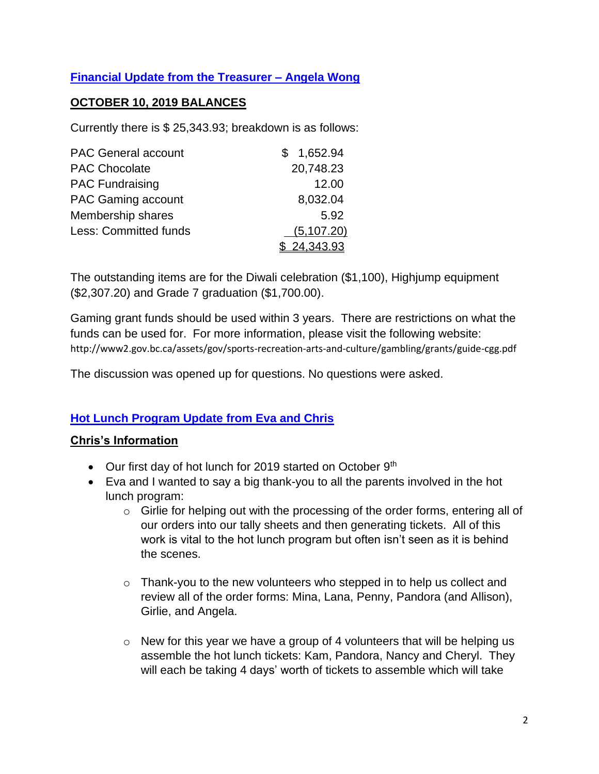## **Financial Update from the Treasurer – Angela Wong**

### **OCTOBER 10, 2019 BALANCES**

Currently there is \$ 25,343.93; breakdown is as follows:

| <b>PAC General account</b> | 1,652.94           |
|----------------------------|--------------------|
| <b>PAC Chocolate</b>       | 20,748.23          |
| <b>PAC Fundraising</b>     | 12.00              |
| PAC Gaming account         | 8,032.04           |
| Membership shares          | 5.92               |
| Less: Committed funds      | (5, 107.20)        |
|                            | <u>\$24,343.93</u> |

The outstanding items are for the Diwali celebration (\$1,100), Highjump equipment (\$2,307.20) and Grade 7 graduation (\$1,700.00).

Gaming grant funds should be used within 3 years. There are restrictions on what the funds can be used for. For more information, please visit the following website: http://www2.gov.bc.ca/assets/gov/sports-recreation-arts-and-culture/gambling/grants/guide-cgg.pdf

The discussion was opened up for questions. No questions were asked.

### **Hot Lunch Program Update from Eva and Chris**

#### **Chris's Information**

- Our first day of hot lunch for 2019 started on October 9th
- Eva and I wanted to say a big thank-you to all the parents involved in the hot lunch program:
	- o Girlie for helping out with the processing of the order forms, entering all of our orders into our tally sheets and then generating tickets. All of this work is vital to the hot lunch program but often isn't seen as it is behind the scenes.
	- $\circ$  Thank-you to the new volunteers who stepped in to help us collect and review all of the order forms: Mina, Lana, Penny, Pandora (and Allison), Girlie, and Angela.
	- $\circ$  New for this year we have a group of 4 volunteers that will be helping us assemble the hot lunch tickets: Kam, Pandora, Nancy and Cheryl. They will each be taking 4 days' worth of tickets to assemble which will take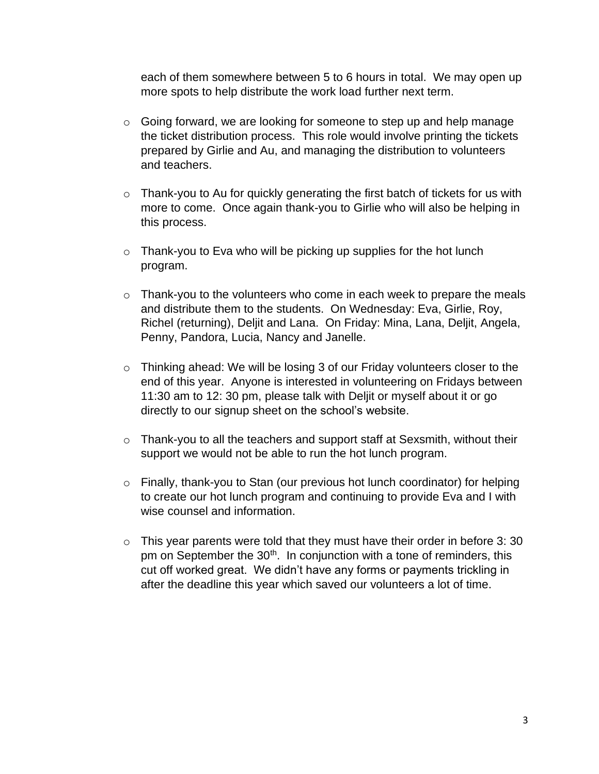each of them somewhere between 5 to 6 hours in total. We may open up more spots to help distribute the work load further next term.

- $\circ$  Going forward, we are looking for someone to step up and help manage the ticket distribution process. This role would involve printing the tickets prepared by Girlie and Au, and managing the distribution to volunteers and teachers.
- o Thank-you to Au for quickly generating the first batch of tickets for us with more to come. Once again thank-you to Girlie who will also be helping in this process.
- $\circ$  Thank-you to Eva who will be picking up supplies for the hot lunch program.
- o Thank-you to the volunteers who come in each week to prepare the meals and distribute them to the students. On Wednesday: Eva, Girlie, Roy, Richel (returning), Deljit and Lana. On Friday: Mina, Lana, Deljit, Angela, Penny, Pandora, Lucia, Nancy and Janelle.
- o Thinking ahead: We will be losing 3 of our Friday volunteers closer to the end of this year. Anyone is interested in volunteering on Fridays between 11:30 am to 12: 30 pm, please talk with Deljit or myself about it or go directly to our signup sheet on the school's website.
- o Thank-you to all the teachers and support staff at Sexsmith, without their support we would not be able to run the hot lunch program.
- o Finally, thank-you to Stan (our previous hot lunch coordinator) for helping to create our hot lunch program and continuing to provide Eva and I with wise counsel and information.
- $\circ$  This year parents were told that they must have their order in before 3:30 pm on September the 30<sup>th</sup>. In conjunction with a tone of reminders, this cut off worked great. We didn't have any forms or payments trickling in after the deadline this year which saved our volunteers a lot of time.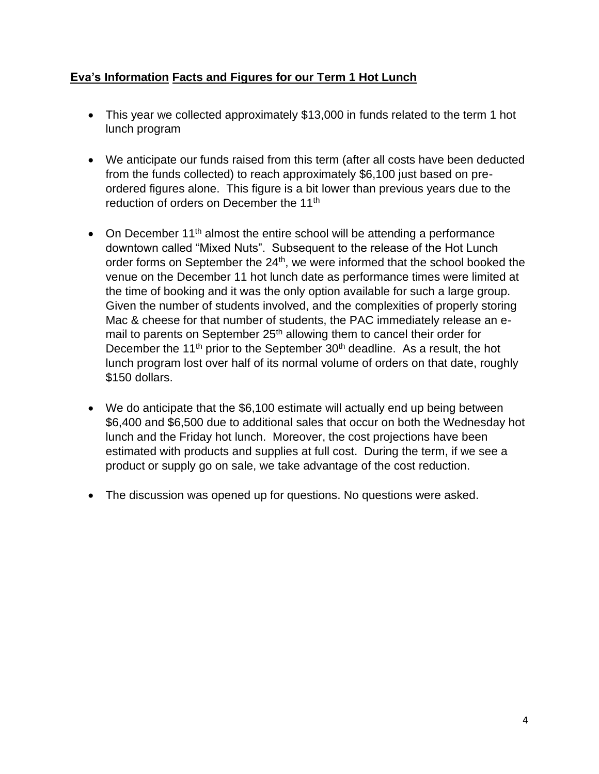## **Eva's Information Facts and Figures for our Term 1 Hot Lunch**

- This year we collected approximately \$13,000 in funds related to the term 1 hot lunch program
- We anticipate our funds raised from this term (after all costs have been deducted from the funds collected) to reach approximately \$6,100 just based on preordered figures alone. This figure is a bit lower than previous years due to the reduction of orders on December the 11<sup>th</sup>
- On December 11<sup>th</sup> almost the entire school will be attending a performance downtown called "Mixed Nuts". Subsequent to the release of the Hot Lunch order forms on September the 24<sup>th</sup>, we were informed that the school booked the venue on the December 11 hot lunch date as performance times were limited at the time of booking and it was the only option available for such a large group. Given the number of students involved, and the complexities of properly storing Mac & cheese for that number of students, the PAC immediately release an email to parents on September 25<sup>th</sup> allowing them to cancel their order for December the 11<sup>th</sup> prior to the September  $30<sup>th</sup>$  deadline. As a result, the hot lunch program lost over half of its normal volume of orders on that date, roughly \$150 dollars.
- We do anticipate that the \$6,100 estimate will actually end up being between \$6,400 and \$6,500 due to additional sales that occur on both the Wednesday hot lunch and the Friday hot lunch. Moreover, the cost projections have been estimated with products and supplies at full cost. During the term, if we see a product or supply go on sale, we take advantage of the cost reduction.
- The discussion was opened up for questions. No questions were asked.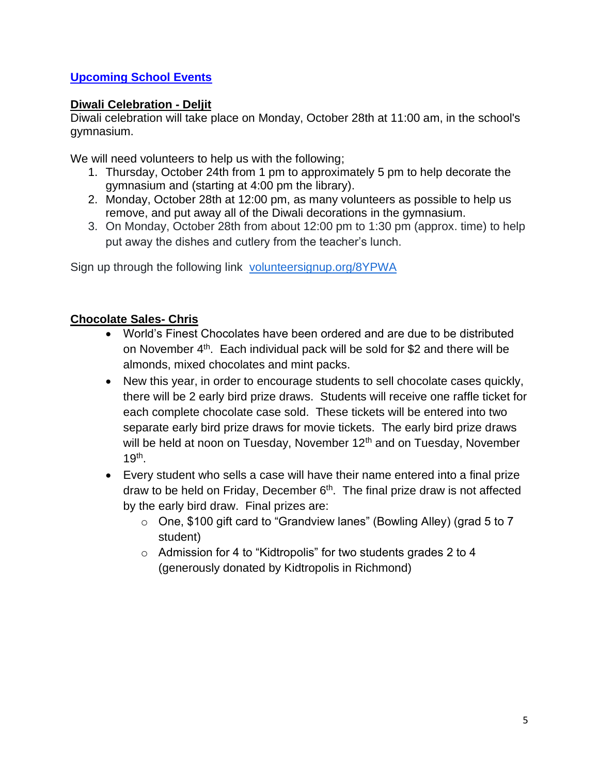## **Upcoming School Events**

## **Diwali Celebration - Deljit**

Diwali celebration will take place on Monday, October 28th at 11:00 am, in the school's gymnasium.

We will need volunteers to help us with the following;

- 1. Thursday, October 24th from 1 pm to approximately 5 pm to help decorate the gymnasium and (starting at 4:00 pm the library).
- 2. Monday, October 28th at 12:00 pm, as many volunteers as possible to help us remove, and put away all of the Diwali decorations in the gymnasium.
- 3. On Monday, October 28th from about 12:00 pm to 1:30 pm (approx. time) to help put away the dishes and cutlery from the teacher's lunch.

Sign up through the following link [volunteersignup.org/8YPWA](http://volunteersignup.org/8YPWA)

## **Chocolate Sales- Chris**

- World's Finest Chocolates have been ordered and are due to be distributed on November 4<sup>th</sup>. Each individual pack will be sold for \$2 and there will be almonds, mixed chocolates and mint packs.
- New this year, in order to encourage students to sell chocolate cases quickly, there will be 2 early bird prize draws. Students will receive one raffle ticket for each complete chocolate case sold. These tickets will be entered into two separate early bird prize draws for movie tickets. The early bird prize draws will be held at noon on Tuesday, November  $12<sup>th</sup>$  and on Tuesday, November  $19<sup>th</sup>$ .
- Every student who sells a case will have their name entered into a final prize draw to be held on Friday, December 6<sup>th</sup>. The final prize draw is not affected by the early bird draw. Final prizes are:
	- o One, \$100 gift card to "Grandview lanes" (Bowling Alley) (grad 5 to 7 student)
	- o Admission for 4 to "Kidtropolis" for two students grades 2 to 4 (generously donated by Kidtropolis in Richmond)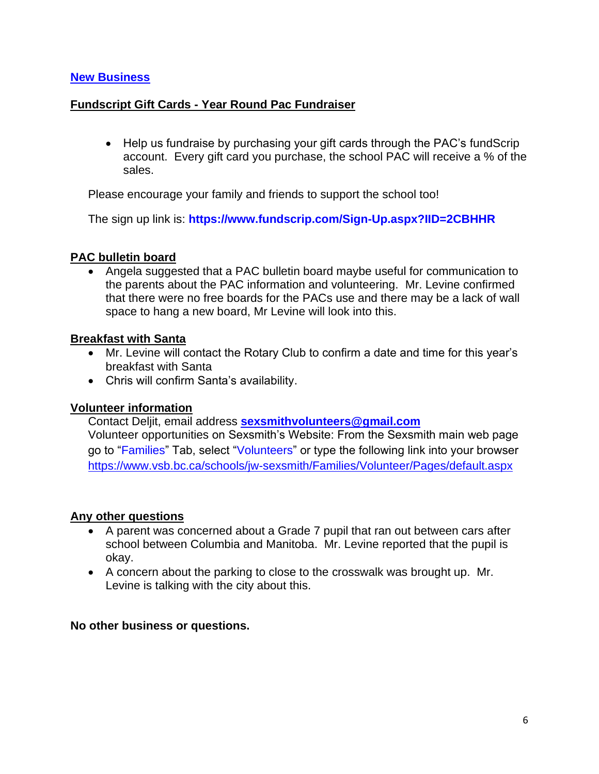#### **New Business**

### **Fundscript Gift Cards - Year Round Pac Fundraiser**

• Help us fundraise by purchasing your gift cards through the PAC's fundScrip account. Every gift card you purchase, the school PAC will receive a % of the sales.

Please encourage your family and friends to support the school too!

The sign up link is: **<https://www.fundscrip.com/Sign-Up.aspx?IID=2CBHHR>**

### **PAC bulletin board**

• Angela suggested that a PAC bulletin board maybe useful for communication to the parents about the PAC information and volunteering. Mr. Levine confirmed that there were no free boards for the PACs use and there may be a lack of wall space to hang a new board, Mr Levine will look into this.

#### **Breakfast with Santa**

- Mr. Levine will contact the Rotary Club to confirm a date and time for this year's breakfast with Santa
- Chris will confirm Santa's availability.

### **Volunteer information**

Contact Deljit, email address **[sexsmithvolunteers@gmail.com](mailto:sexsmithvolunteers@gmail.com)**

Volunteer opportunities on Sexsmith's Website: From the Sexsmith main web page go to "Families" Tab, select "Volunteers" or type the following link into your browser <https://www.vsb.bc.ca/schools/jw-sexsmith/Families/Volunteer/Pages/default.aspx>

#### **Any other questions**

- A parent was concerned about a Grade 7 pupil that ran out between cars after school between Columbia and Manitoba. Mr. Levine reported that the pupil is okay.
- A concern about the parking to close to the crosswalk was brought up. Mr. Levine is talking with the city about this.

#### **No other business or questions.**